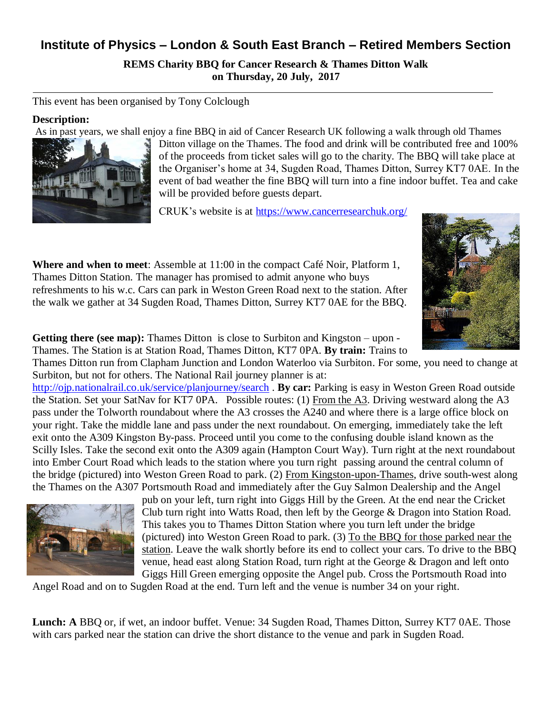## **Institute of Physics – London & South East Branch – Retired Members Section**

**REMS Charity BBQ for Cancer Research & Thames Ditton Walk on Thursday, 20 July, 2017**

This event has been organised by Tony Colclough

## **Description:**

As in past years, we shall enjoy a fine BBQ in aid of Cancer Research UK following a walk through old Thames



Ditton village on the Thames. The food and drink will be contributed free and 100% of the proceeds from ticket sales will go to the charity. The BBQ will take place at the Organiser's home at 34, Sugden Road, Thames Ditton, Surrey KT7 0AE. In the event of bad weather the fine BBQ will turn into a fine indoor buffet. Tea and cake will be provided before guests depart.

CRUK's website is at<https://www.cancerresearchuk.org/>

**Where and when to meet**: Assemble at 11:00 in the compact Café Noir, Platform 1, Thames Ditton Station. The manager has promised to admit anyone who buys refreshments to his w.c. Cars can park in Weston Green Road next to the station. After the walk we gather at 34 Sugden Road, Thames Ditton, Surrey KT7 0AE for the BBQ.



**Getting there (see map):** Thames Ditton is close to Surbiton and Kingston – upon - Thames. The Station is at Station Road, Thames Ditton, KT7 0PA. **By train:** Trains to

Thames Ditton run from Clapham Junction and London Waterloo via Surbiton. For some, you need to change at Surbiton, but not for others. The National Rail journey planner is at:

<http://ojp.nationalrail.co.uk/service/planjourney/search> . **By car:** Parking is easy in Weston Green Road outside the Station. Set your SatNav for KT7 0PA. Possible routes: (1) From the A3. Driving westward along the A3 pass under the Tolworth roundabout where the A3 crosses the A240 and where there is a large office block on your right. Take the middle lane and pass under the next roundabout. On emerging, immediately take the left exit onto the A309 Kingston By-pass. Proceed until you come to the confusing double island known as the Scilly Isles. Take the second exit onto the A309 again (Hampton Court Way). Turn right at the next roundabout into Ember Court Road which leads to the station where you turn right passing around the central column of the bridge (pictured) into Weston Green Road to park. (2) From Kingston-upon-Thames, drive south-west along the Thames on the A307 Portsmouth Road and immediately after the Guy Salmon Dealership and the Angel



pub on your left, turn right into Giggs Hill by the Green. At the end near the Cricket Club turn right into Watts Road, then left by the George & Dragon into Station Road. This takes you to Thames Ditton Station where you turn left under the bridge (pictured) into Weston Green Road to park. (3) To the BBQ for those parked near the station. Leave the walk shortly before its end to collect your cars. To drive to the BBQ venue, head east along Station Road, turn right at the George & Dragon and left onto Giggs Hill Green emerging opposite the Angel pub. Cross the Portsmouth Road into

Angel Road and on to Sugden Road at the end. Turn left and the venue is number 34 on your right.

**Lunch: A** BBQ or, if wet, an indoor buffet. Venue: 34 Sugden Road, Thames Ditton, Surrey KT7 0AE. Those with cars parked near the station can drive the short distance to the venue and park in Sugden Road.